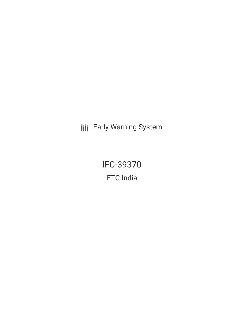**III** Early Warning System

IFC-39370 ETC India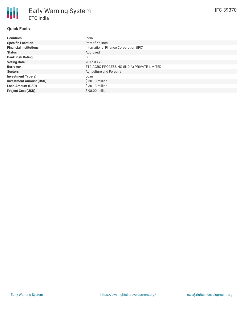# **Quick Facts**

| <b>Countries</b>               | India                                       |
|--------------------------------|---------------------------------------------|
| <b>Specific Location</b>       | Port of Kolkata                             |
| <b>Financial Institutions</b>  | International Finance Corporation (IFC)     |
| <b>Status</b>                  | Approved                                    |
| <b>Bank Risk Rating</b>        | B                                           |
| <b>Voting Date</b>             | 2017-03-29                                  |
| <b>Borrower</b>                | ETC AGRO PROCESSING (INDIA) PRIVATE LIMITED |
| <b>Sectors</b>                 | Agriculture and Forestry                    |
| <b>Investment Type(s)</b>      | Loan                                        |
| <b>Investment Amount (USD)</b> | $$30.13$ million                            |
| <b>Loan Amount (USD)</b>       | $$30.13$ million                            |
| <b>Project Cost (USD)</b>      | \$98,00 million                             |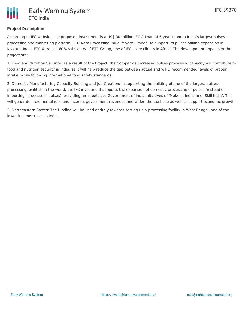

### **Project Description**

According to IFC website, the proposed investment is a US\$ 30 million IFC A Loan of 5-year tenor in India's largest pulses processing and marketing platform, ETC Agro Processing India Private Limited, to support its pulses milling expansion in Kolkata, India. ETC Agro is a 60% subsidiary of ETC Group, one of IFC's key clients in Africa. The development impacts of the project are:

1. Food and Nutrition Security: As a result of the Project, the Company's increased pulses processing capacity will contribute to food and nutrition security in India, as it will help reduce the gap between actual and WHO recommended levels of protein intake, while following international food safety standards.

2. Domestic Manufacturing Capacity Building and Job Creation: In supporting the building of one of the largest pulses processing facilities in the world, the IFC investment supports the expansion of domestic processing of pulses (instead of importing "processed" pulses), providing an impetus to Government of India initiatives of 'Make in India' and 'Skill India'. This will generate incremental jobs and income, government revenues and widen the tax base as well as support economic growth.

3. Northeastern States: The funding will be used entirely towards setting up a processing facility in West Bengal, one of the lower income states in India.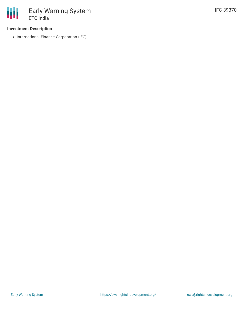### **Investment Description**

• International Finance Corporation (IFC)